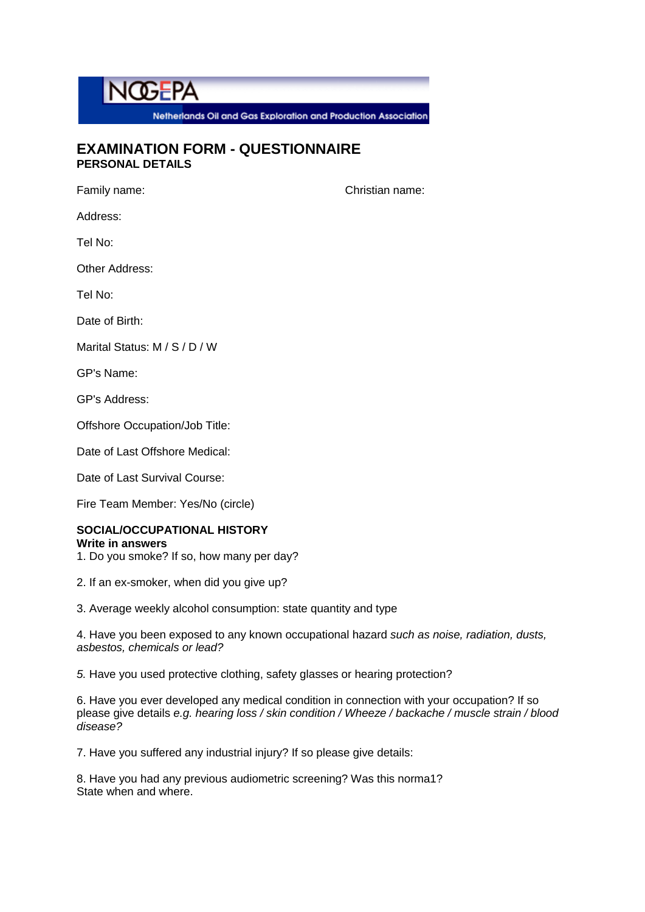

Netherlands Oil and Gas Exploration and Production Association

## **EXAMINATION FORM - QUESTIONNAIRE PERSONAL DETAILS**

Family name: Christian name:

Address:

Tel No:

Other Address:

Tel No:

Date of Birth:

Marital Status: M / S / D / W

GP's Name:

GP's Address:

Offshore Occupation/Job Title:

Date of Last Offshore Medical:

Date of Last Survival Course:

Fire Team Member: Yes/No (circle)

## **SOCIAL/OCCUPATIONAL HISTORY**

#### **Write in answers**

1. Do you smoke? If so, how many per day?

2. If an ex-smoker, when did you give up?

3. Average weekly alcohol consumption: state quantity and type

4. Have you been exposed to any known occupational hazard *such as noise, radiation, dusts, asbestos, chemicals or lead?*

*5.* Have you used protective clothing, safety glasses or hearing protection?

6. Have you ever developed any medical condition in connection with your occupation? If so please give details *e.g. hearing loss / skin condition / Wheeze / backache / muscle strain / blood disease?*

7. Have you suffered any industrial injury? If so please give details:

8. Have you had any previous audiometric screening? Was this norma1? State when and where.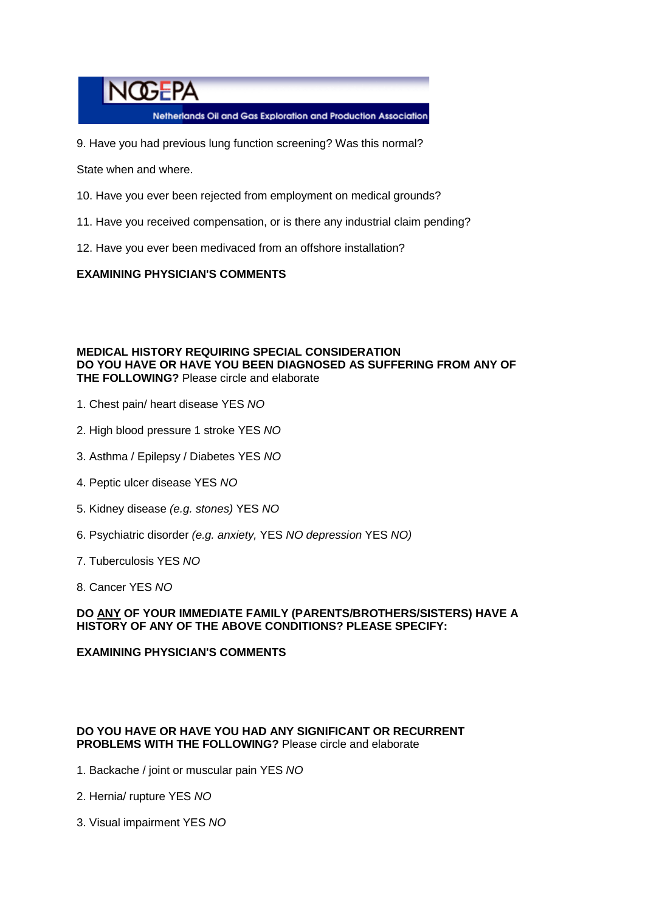# **NOGEPA**

Netherlands Oil and Gas Exploration and Production Association

9. Have you had previous lung function screening? Was this normal?

State when and where.

- 10. Have you ever been rejected from employment on medical grounds?
- 11. Have you received compensation, or is there any industrial claim pending?
- 12. Have you ever been medivaced from an offshore installation?

#### **EXAMINING PHYSICIAN'S COMMENTS**

#### **MEDICAL HISTORY REQUIRING SPECIAL CONSIDERATION DO YOU HAVE OR HAVE YOU BEEN DIAGNOSED AS SUFFERING FROM ANY OF THE FOLLOWING?** Please circle and elaborate

- 1. Chest pain/ heart disease YES *NO*
- 2. High blood pressure 1 stroke YES *NO*
- 3. Asthma / Epilepsy / Diabetes YES *NO*
- 4. Peptic ulcer disease YES *NO*
- 5. Kidney disease *(e.g. stones)* YES *NO*
- 6. Psychiatric disorder *(e.g. anxiety,* YES *NO depression* YES *NO)*
- 7. Tuberculosis YES *NO*
- 8. Cancer YES *NO*

#### **DO ANY OF YOUR IMMEDIATE FAMILY (PARENTS/BROTHERS/SISTERS) HAVE A HISTORY OF ANY OF THE ABOVE CONDITIONS? PLEASE SPECIFY:**

### **EXAMINING PHYSICIAN'S COMMENTS**

### **DO YOU HAVE OR HAVE YOU HAD ANY SIGNIFICANT OR RECURRENT PROBLEMS WITH THE FOLLOWING?** Please circle and elaborate

- 1. Backache / joint or muscular pain YES *NO*
- 2. Hernia/ rupture YES *NO*
- 3. Visual impairment YES *NO*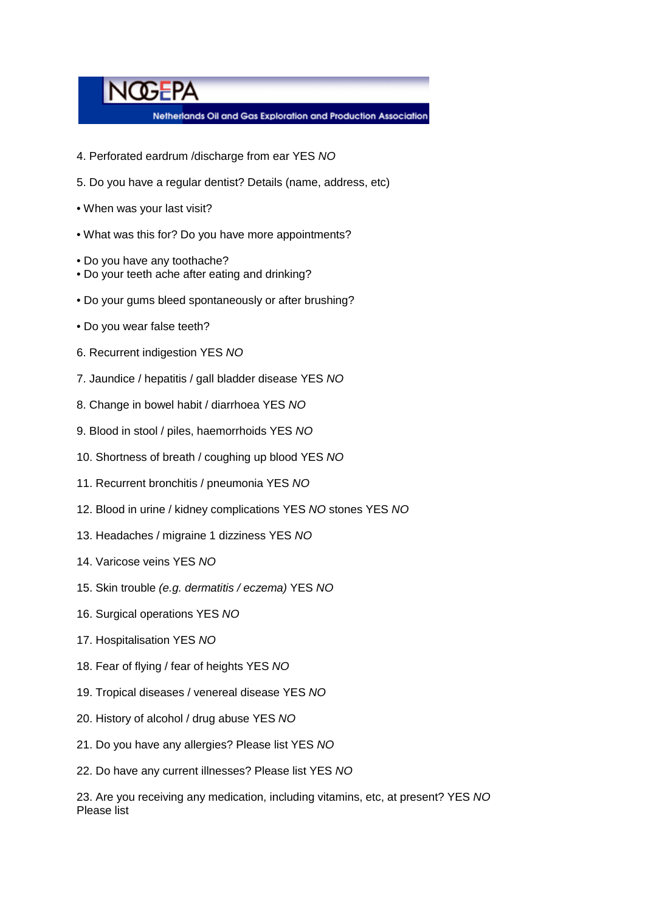# **NOGEPA**

Netherlands Oil and Gas Exploration and Production Association

- 4. Perforated eardrum /discharge from ear YES *NO*
- 5. Do you have a regular dentist? Details (name, address, etc)
- When was your last visit?
- What was this for? Do you have more appointments?
- Do you have any toothache?
- Do your teeth ache after eating and drinking?
- Do your gums bleed spontaneously or after brushing?
- Do you wear false teeth?
- 6. Recurrent indigestion YES *NO*
- 7. Jaundice / hepatitis / gall bladder disease YES *NO*
- 8. Change in bowel habit / diarrhoea YES *NO*
- 9. Blood in stool / piles, haemorrhoids YES *NO*
- 10. Shortness of breath / coughing up blood YES *NO*
- 11. Recurrent bronchitis / pneumonia YES *NO*
- 12. Blood in urine / kidney complications YES *NO* stones YES *NO*
- 13. Headaches / migraine 1 dizziness YES *NO*
- 14. Varicose veins YES *NO*
- 15. Skin trouble *(e.g. dermatitis / eczema)* YES *NO*
- 16. Surgical operations YES *NO*
- 17. Hospitalisation YES *NO*
- 18. Fear of flying / fear of heights YES *NO*
- 19. Tropical diseases / venereal disease YES *NO*
- 20. History of alcohol / drug abuse YES *NO*
- 21. Do you have any allergies? Please list YES *NO*
- 22. Do have any current illnesses? Please list YES *NO*

23. Are you receiving any medication, including vitamins, etc, at present? YES *NO* Please list